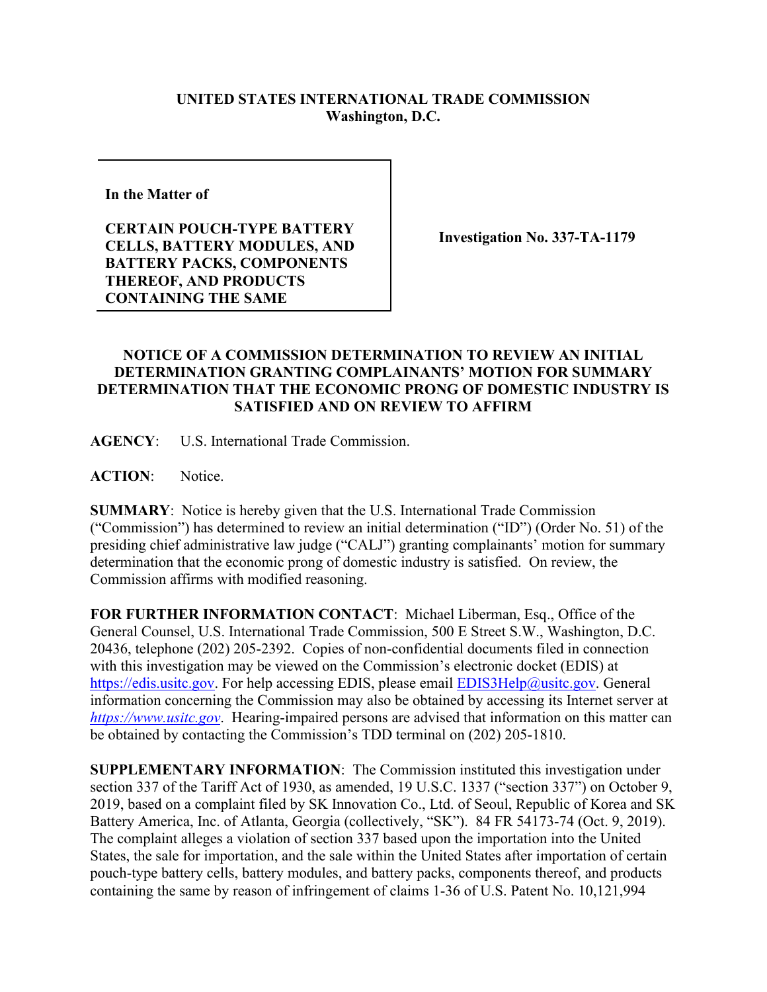## **UNITED STATES INTERNATIONAL TRADE COMMISSION Washington, D.C.**

**In the Matter of** 

**CERTAIN POUCH-TYPE BATTERY CELLS, BATTERY MODULES, AND BATTERY PACKS, COMPONENTS THEREOF, AND PRODUCTS CONTAINING THE SAME**

**Investigation No. 337-TA-1179**

## **NOTICE OF A COMMISSION DETERMINATION TO REVIEW AN INITIAL DETERMINATION GRANTING COMPLAINANTS' MOTION FOR SUMMARY DETERMINATION THAT THE ECONOMIC PRONG OF DOMESTIC INDUSTRY IS SATISFIED AND ON REVIEW TO AFFIRM**

**AGENCY**: U.S. International Trade Commission.

**ACTION**: Notice.

**SUMMARY**: Notice is hereby given that the U.S. International Trade Commission ("Commission") has determined to review an initial determination ("ID") (Order No. 51) of the presiding chief administrative law judge ("CALJ") granting complainants' motion for summary determination that the economic prong of domestic industry is satisfied. On review, the Commission affirms with modified reasoning.

**FOR FURTHER INFORMATION CONTACT**: Michael Liberman, Esq., Office of the General Counsel, U.S. International Trade Commission, 500 E Street S.W., Washington, D.C. 20436, telephone (202) 205-2392. Copies of non-confidential documents filed in connection with this investigation may be viewed on the Commission's electronic docket (EDIS) at [https://edis.usitc.gov.](https://edis.usitc.gov/) For help accessing EDIS, please email [EDIS3Help@usitc.gov.](mailto:EDIS3Help@usitc.gov) General information concerning the Commission may also be obtained by accessing its Internet server at *[https://www.usitc.gov](https://www.usitc.gov/)*. Hearing-impaired persons are advised that information on this matter can be obtained by contacting the Commission's TDD terminal on (202) 205-1810.

**SUPPLEMENTARY INFORMATION**: The Commission instituted this investigation under section 337 of the Tariff Act of 1930, as amended, 19 U.S.C. 1337 ("section 337") on October 9, 2019, based on a complaint filed by SK Innovation Co., Ltd. of Seoul, Republic of Korea and SK Battery America, Inc. of Atlanta, Georgia (collectively, "SK"). 84 FR 54173-74 (Oct. 9, 2019). The complaint alleges a violation of section 337 based upon the importation into the United States, the sale for importation, and the sale within the United States after importation of certain pouch-type battery cells, battery modules, and battery packs, components thereof, and products containing the same by reason of infringement of claims 1-36 of U.S. Patent No. 10,121,994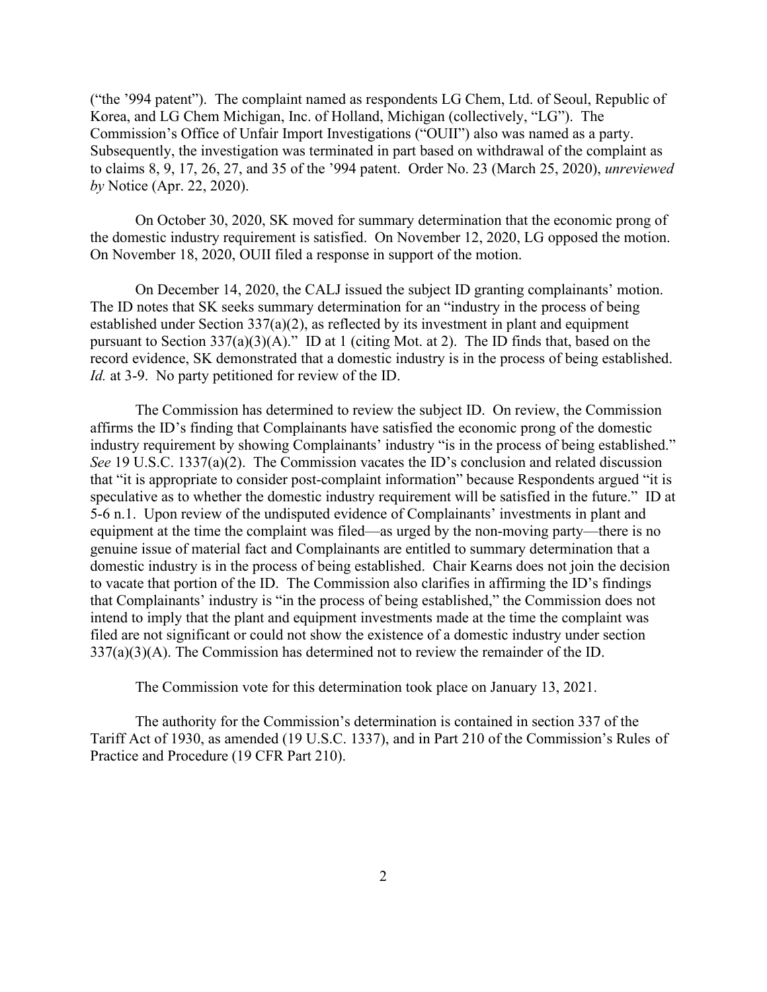("the '994 patent"). The complaint named as respondents LG Chem, Ltd. of Seoul, Republic of Korea, and LG Chem Michigan, Inc. of Holland, Michigan (collectively, "LG"). The Commission's Office of Unfair Import Investigations ("OUII") also was named as a party. Subsequently, the investigation was terminated in part based on withdrawal of the complaint as to claims 8, 9, 17, 26, 27, and 35 of the '994 patent. Order No. 23 (March 25, 2020), *unreviewed by* Notice (Apr. 22, 2020).

On October 30, 2020, SK moved for summary determination that the economic prong of the domestic industry requirement is satisfied. On November 12, 2020, LG opposed the motion. On November 18, 2020, OUII filed a response in support of the motion.

On December 14, 2020, the CALJ issued the subject ID granting complainants' motion. The ID notes that SK seeks summary determination for an "industry in the process of being established under Section 337(a)(2), as reflected by its investment in plant and equipment pursuant to Section  $337(a)(3)(A)$ ." ID at 1 (citing Mot. at 2). The ID finds that, based on the record evidence, SK demonstrated that a domestic industry is in the process of being established. *Id.* at 3-9. No party petitioned for review of the ID.

The Commission has determined to review the subject ID. On review, the Commission affirms the ID's finding that Complainants have satisfied the economic prong of the domestic industry requirement by showing Complainants' industry "is in the process of being established." *See* 19 U.S.C. 1337(a)(2). The Commission vacates the ID's conclusion and related discussion that "it is appropriate to consider post-complaint information" because Respondents argued "it is speculative as to whether the domestic industry requirement will be satisfied in the future." ID at 5-6 n.1. Upon review of the undisputed evidence of Complainants' investments in plant and equipment at the time the complaint was filed—as urged by the non-moving party—there is no genuine issue of material fact and Complainants are entitled to summary determination that a domestic industry is in the process of being established. Chair Kearns does not join the decision to vacate that portion of the ID. The Commission also clarifies in affirming the ID's findings that Complainants' industry is "in the process of being established," the Commission does not intend to imply that the plant and equipment investments made at the time the complaint was filed are not significant or could not show the existence of a domestic industry under section 337(a)(3)(A). The Commission has determined not to review the remainder of the ID.

The Commission vote for this determination took place on January 13, 2021.

The authority for the Commission's determination is contained in section 337 of the Tariff Act of 1930, as amended (19 U.S.C. 1337), and in Part 210 of the Commission's Rules of Practice and Procedure (19 CFR Part 210).